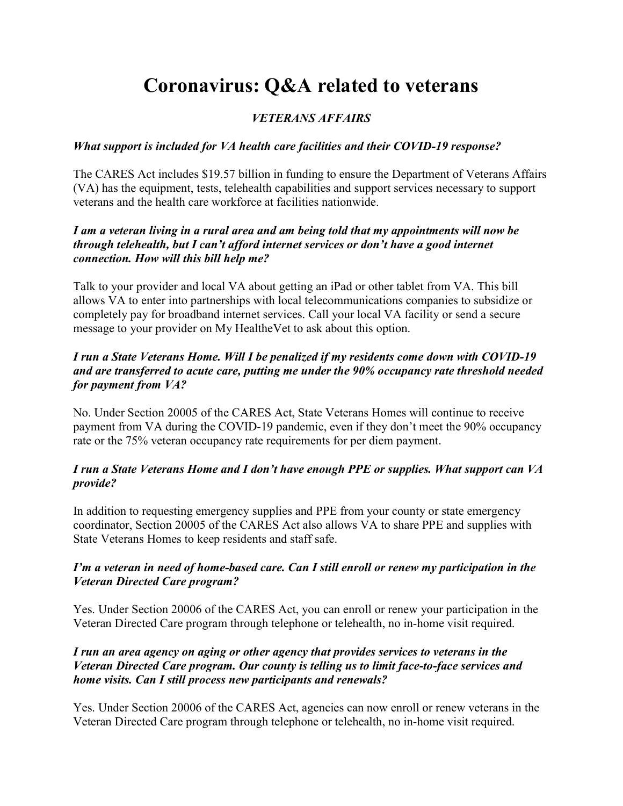# Coronavirus: Q&A related to veterans

# VETERANS AFFAIRS

#### What support is included for VA health care facilities and their COVID-19 response?

The CARES Act includes \$19.57 billion in funding to ensure the Department of Veterans Affairs (VA) has the equipment, tests, telehealth capabilities and support services necessary to support veterans and the health care workforce at facilities nationwide.

#### I am a veteran living in a rural area and am being told that my appointments will now be through telehealth, but I can't afford internet services or don't have a good internet connection. How will this bill help me?

Talk to your provider and local VA about getting an iPad or other tablet from VA. This bill allows VA to enter into partnerships with local telecommunications companies to subsidize or completely pay for broadband internet services. Call your local VA facility or send a secure message to your provider on My HealtheVet to ask about this option.

#### I run a State Veterans Home. Will I be penalized if my residents come down with COVID-19 and are transferred to acute care, putting me under the 90% occupancy rate threshold needed for payment from VA?

No. Under Section 20005 of the CARES Act, State Veterans Homes will continue to receive payment from VA during the COVID-19 pandemic, even if they don't meet the 90% occupancy rate or the 75% veteran occupancy rate requirements for per diem payment.

#### I run a State Veterans Home and I don't have enough PPE or supplies. What support can VA provide?

In addition to requesting emergency supplies and PPE from your county or state emergency coordinator, Section 20005 of the CARES Act also allows VA to share PPE and supplies with State Veterans Homes to keep residents and staff safe.

#### I'm a veteran in need of home-based care. Can I still enroll or renew my participation in the Veteran Directed Care program?

Yes. Under Section 20006 of the CARES Act, you can enroll or renew your participation in the Veteran Directed Care program through telephone or telehealth, no in-home visit required.

#### I run an area agency on aging or other agency that provides services to veterans in the Veteran Directed Care program. Our county is telling us to limit face-to-face services and home visits. Can I still process new participants and renewals?

Yes. Under Section 20006 of the CARES Act, agencies can now enroll or renew veterans in the Veteran Directed Care program through telephone or telehealth, no in-home visit required.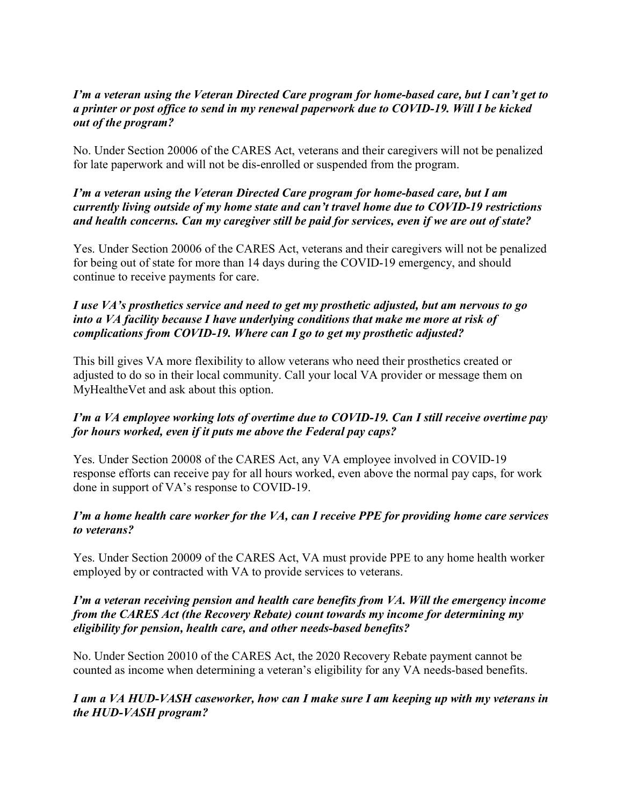#### I'm a veteran using the Veteran Directed Care program for home-based care, but I can't get to a printer or post office to send in my renewal paperwork due to COVID-19. Will I be kicked out of the program?

No. Under Section 20006 of the CARES Act, veterans and their caregivers will not be penalized for late paperwork and will not be dis-enrolled or suspended from the program.

#### I'm a veteran using the Veteran Directed Care program for home-based care, but I am currently living outside of my home state and can't travel home due to COVID-19 restrictions and health concerns. Can my caregiver still be paid for services, even if we are out of state?

Yes. Under Section 20006 of the CARES Act, veterans and their caregivers will not be penalized for being out of state for more than 14 days during the COVID-19 emergency, and should continue to receive payments for care.

#### I use VA's prosthetics service and need to get my prosthetic adjusted, but am nervous to go into a VA facility because I have underlying conditions that make me more at risk of complications from COVID-19. Where can I go to get my prosthetic adjusted?

This bill gives VA more flexibility to allow veterans who need their prosthetics created or adjusted to do so in their local community. Call your local VA provider or message them on MyHealtheVet and ask about this option.

# I'm a VA employee working lots of overtime due to COVID-19. Can I still receive overtime pay for hours worked, even if it puts me above the Federal pay caps?

Yes. Under Section 20008 of the CARES Act, any VA employee involved in COVID-19 response efforts can receive pay for all hours worked, even above the normal pay caps, for work done in support of VA's response to COVID-19.

#### I'm a home health care worker for the VA, can I receive PPE for providing home care services to veterans?

Yes. Under Section 20009 of the CARES Act, VA must provide PPE to any home health worker employed by or contracted with VA to provide services to veterans.

#### I'm a veteran receiving pension and health care benefits from VA. Will the emergency income from the CARES Act (the Recovery Rebate) count towards my income for determining my eligibility for pension, health care, and other needs-based benefits?

No. Under Section 20010 of the CARES Act, the 2020 Recovery Rebate payment cannot be counted as income when determining a veteran's eligibility for any VA needs-based benefits.

# I am a VA HUD-VASH caseworker, how can I make sure I am keeping up with my veterans in the HUD-VASH program?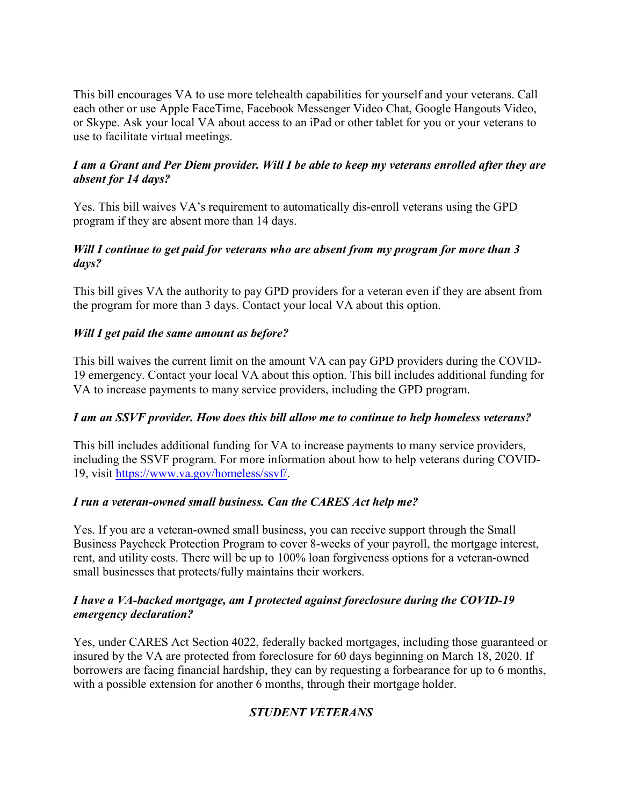This bill encourages VA to use more telehealth capabilities for yourself and your veterans. Call each other or use Apple FaceTime, Facebook Messenger Video Chat, Google Hangouts Video, or Skype. Ask your local VA about access to an iPad or other tablet for you or your veterans to use to facilitate virtual meetings.

# I am a Grant and Per Diem provider. Will I be able to keep my veterans enrolled after they are absent for 14 days?

Yes. This bill waives VA's requirement to automatically dis-enroll veterans using the GPD program if they are absent more than 14 days.

#### Will I continue to get paid for veterans who are absent from my program for more than 3 days?

This bill gives VA the authority to pay GPD providers for a veteran even if they are absent from the program for more than 3 days. Contact your local VA about this option.

# Will I get paid the same amount as before?

This bill waives the current limit on the amount VA can pay GPD providers during the COVID-19 emergency. Contact your local VA about this option. This bill includes additional funding for VA to increase payments to many service providers, including the GPD program.

#### I am an SSVF provider. How does this bill allow me to continue to help homeless veterans?

This bill includes additional funding for VA to increase payments to many service providers, including the SSVF program. For more information about how to help veterans during COVID-19, visit https://www.va.gov/homeless/ssvf/.

#### I run a veteran-owned small business. Can the CARES Act help me?

Yes. If you are a veteran-owned small business, you can receive support through the Small Business Paycheck Protection Program to cover 8-weeks of your payroll, the mortgage interest, rent, and utility costs. There will be up to 100% loan forgiveness options for a veteran-owned small businesses that protects/fully maintains their workers.

#### I have a VA-backed mortgage, am I protected against foreclosure during the COVID-19 emergency declaration?

Yes, under CARES Act Section 4022, federally backed mortgages, including those guaranteed or insured by the VA are protected from foreclosure for 60 days beginning on March 18, 2020. If borrowers are facing financial hardship, they can by requesting a forbearance for up to 6 months, with a possible extension for another 6 months, through their mortgage holder.

# STUDENT VETERANS